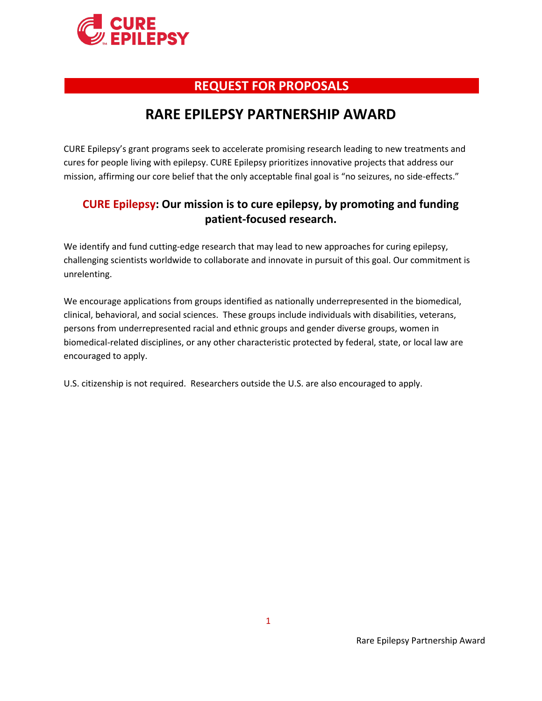

# **REQUEST FOR PROPOSALS**

# **RARE EPILEPSY PARTNERSHIP AWARD**

CURE Epilepsy's grant programs seek to accelerate promising research leading to new treatments and cures for people living with epilepsy. CURE Epilepsy prioritizes innovative projects that address our mission, affirming our core belief that the only acceptable final goal is "no seizures, no side-effects."

### **CURE Epilepsy: Our mission is to cure epilepsy, by promoting and funding patient-focused research.**

We identify and fund cutting-edge research that may lead to new approaches for curing epilepsy, challenging scientists worldwide to collaborate and innovate in pursuit of this goal. Our commitment is unrelenting.

We encourage applications from groups identified as nationally underrepresented in the biomedical, clinical, behavioral, and social sciences. These groups include individuals with disabilities, veterans, persons from underrepresented racial and ethnic groups and gender diverse groups, women in biomedical-related disciplines, or any other characteristic protected by federal, state, or local law are encouraged to apply.

U.S. citizenship is not required. Researchers outside the U.S. are also encouraged to apply.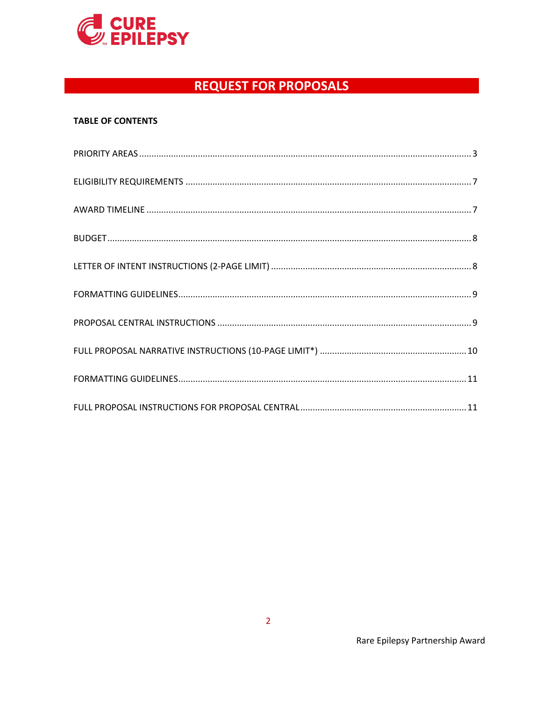

### **TABLE OF CONTENTS**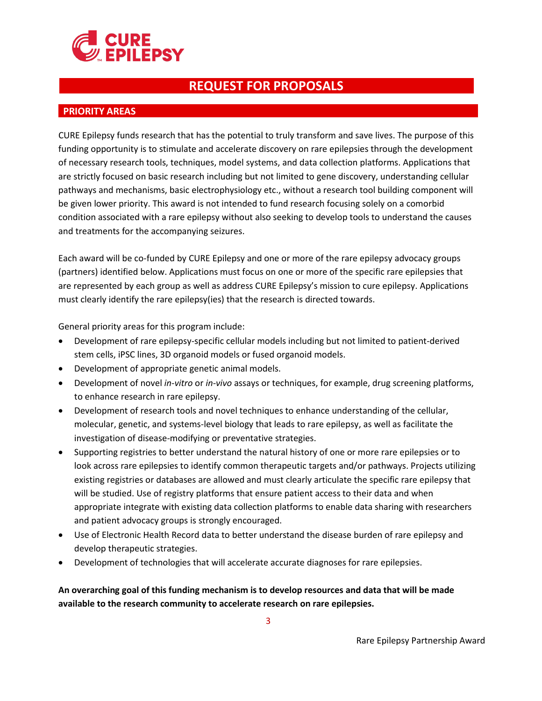

#### <span id="page-2-0"></span> **PRIORITY AREAS**

CURE Epilepsy funds research that has the potential to truly transform and save lives. The purpose of this funding opportunity is to stimulate and accelerate discovery on rare epilepsies through the development of necessary research tools, techniques, model systems, and data collection platforms. Applications that are strictly focused on basic research including but not limited to gene discovery, understanding cellular pathways and mechanisms, basic electrophysiology etc., without a research tool building component will be given lower priority. This award is not intended to fund research focusing solely on a comorbid condition associated with a rare epilepsy without also seeking to develop tools to understand the causes and treatments for the accompanying seizures.

Each award will be co-funded by CURE Epilepsy and one or more of the rare epilepsy advocacy groups (partners) identified below. Applications must focus on one or more of the specific rare epilepsies that are represented by each group as well as address CURE Epilepsy's mission to cure epilepsy. Applications must clearly identify the rare epilepsy(ies) that the research is directed towards.

General priority areas for this program include:

- Development of rare epilepsy-specific cellular models including but not limited to patient-derived stem cells, iPSC lines, 3D organoid models or fused organoid models.
- Development of appropriate genetic animal models.
- Development of novel *in-vitro* or *in-vivo* assays or techniques, for example, drug screening platforms, to enhance research in rare epilepsy.
- Development of research tools and novel techniques to enhance understanding of the cellular, molecular, genetic, and systems-level biology that leads to rare epilepsy, as well as facilitate the investigation of disease-modifying or preventative strategies.
- Supporting registries to better understand the natural history of one or more rare epilepsies or to look across rare epilepsies to identify common therapeutic targets and/or pathways. Projects utilizing existing registries or databases are allowed and must clearly articulate the specific rare epilepsy that will be studied. Use of registry platforms that ensure patient access to their data and when appropriate integrate with existing data collection platforms to enable data sharing with researchers and patient advocacy groups is strongly encouraged.
- Use of Electronic Health Record data to better understand the disease burden of rare epilepsy and develop therapeutic strategies.
- Development of technologies that will accelerate accurate diagnoses for rare epilepsies.

**An overarching goal of this funding mechanism is to develop resources and data that will be made available to the research community to accelerate research on rare epilepsies.**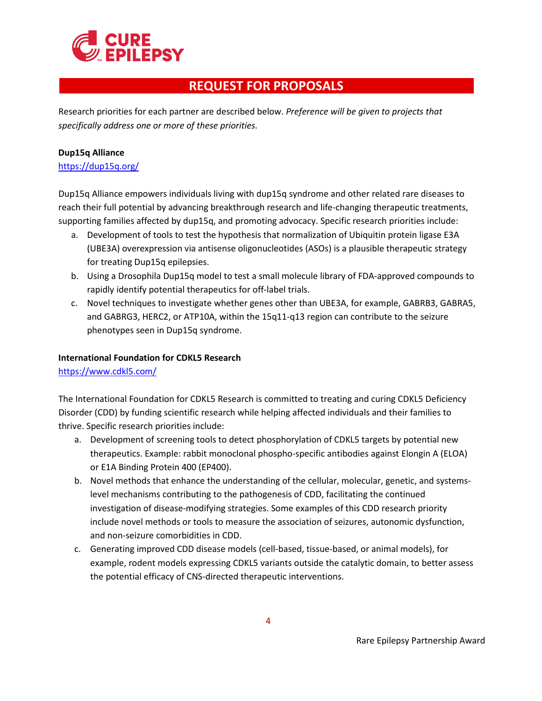

Research priorities for each partner are described below. *Preference will be given to projects that specifically address one or more of these priorities.*

#### **Dup15q Alliance**

<https://dup15q.org/>

Dup15q Alliance empowers individuals living with dup15q syndrome and other related rare diseases to reach their full potential by advancing breakthrough research and life-changing therapeutic treatments, supporting families affected by dup15q, and promoting advocacy. Specific research priorities include:

- a. Development of tools to test the hypothesis that normalization of Ubiquitin protein ligase E3A (UBE3A) overexpression via antisense oligonucleotides (ASOs) is a plausible therapeutic strategy for treating Dup15q epilepsies.
- b. Using a Drosophila Dup15q model to test a small molecule library of FDA-approved compounds to rapidly identify potential therapeutics for off-label trials.
- c. Novel techniques to investigate whether genes other than UBE3A, for example, GABRB3, GABRA5, and GABRG3, HERC2, or ATP10A, within the 15q11-q13 region can contribute to the seizure phenotypes seen in Dup15q syndrome.

#### **International Foundation for CDKL5 Research**

<https://www.cdkl5.com/>

The International Foundation for CDKL5 Research is committed to treating and curing CDKL5 Deficiency Disorder (CDD) by funding scientific research while helping affected individuals and their families to thrive. Specific research priorities include:

- a. Development of screening tools to detect phosphorylation of CDKL5 targets by potential new therapeutics. Example: rabbit monoclonal phospho-specific antibodies against Elongin A (ELOA) or E1A Binding Protein 400 (EP400).
- b. Novel methods that enhance the understanding of the cellular, molecular, genetic, and systemslevel mechanisms contributing to the pathogenesis of CDD, facilitating the continued investigation of disease-modifying strategies. Some examples of this CDD research priority include novel methods or tools to measure the association of seizures, autonomic dysfunction, and non-seizure comorbidities in CDD.
- c. Generating improved CDD disease models (cell-based, tissue-based, or animal models), for example, rodent models expressing CDKL5 variants outside the catalytic domain, to better assess the potential efficacy of CNS-directed therapeutic interventions.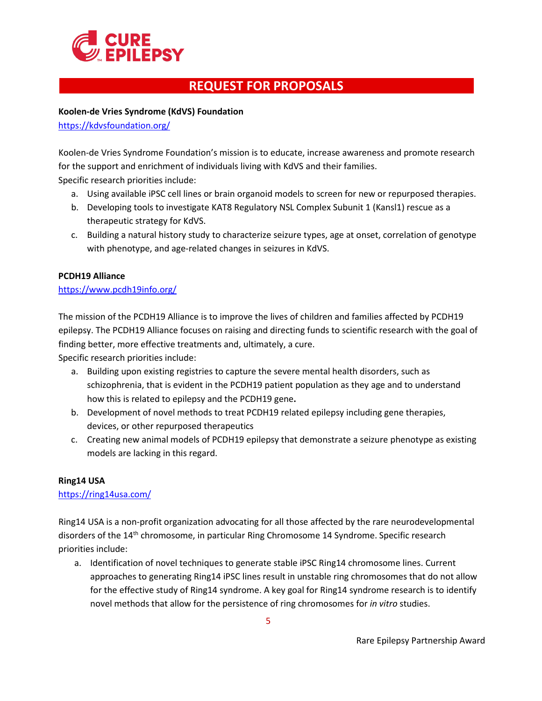

**Koolen-de Vries Syndrome (KdVS) Foundation**

<https://kdvsfoundation.org/>

Koolen-de Vries Syndrome Foundation's mission is to educate, increase awareness and promote research for the support and enrichment of individuals living with KdVS and their families. Specific research priorities include:

- a. Using available iPSC cell lines or brain organoid models to screen for new or repurposed therapies.
- b. Developing tools to investigate KAT8 Regulatory NSL Complex Subunit 1 (Kansl1) rescue as a therapeutic strategy for KdVS.
- c. Building a natural history study to characterize seizure types, age at onset, correlation of genotype with phenotype, and age-related changes in seizures in KdVS.

#### **PCDH19 Alliance**

#### <https://www.pcdh19info.org/>

The mission of the PCDH19 Alliance is to improve the lives of children and families affected by PCDH19 epilepsy. The PCDH19 Alliance focuses on raising and directing funds to scientific research with the goal of finding better, more effective treatments and, ultimately, a cure.

Specific research priorities include:

- a. Building upon existing registries to capture the severe mental health disorders, such as schizophrenia, that is evident in the PCDH19 patient population as they age and to understand how this is related to epilepsy and the PCDH19 gene**.**
- b. Development of novel methods to treat PCDH19 related epilepsy including gene therapies, devices, or other repurposed therapeutics
- c. Creating new animal models of PCDH19 epilepsy that demonstrate a seizure phenotype as existing models are lacking in this regard.

#### **Ring14 USA**

<https://ring14usa.com/>

Ring14 USA is a non-profit organization advocating for all those affected by the rare neurodevelopmental disorders of the 14<sup>th</sup> chromosome, in particular Ring Chromosome 14 Syndrome. Specific research priorities include:

a. Identification of novel techniques to generate stable iPSC Ring14 chromosome lines. Current approaches to generating Ring14 iPSC lines result in unstable ring chromosomes that do not allow for the effective study of Ring14 syndrome. A key goal for Ring14 syndrome research is to identify novel methods that allow for the persistence of ring chromosomes for *in vitro* studies.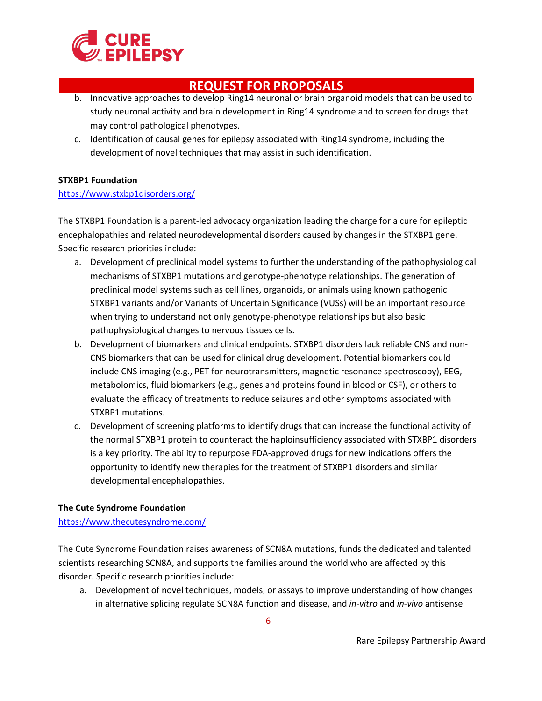

- b. Innovative approaches to develop Ring14 neuronal or brain organoid models that can be used to study neuronal activity and brain development in Ring14 syndrome and to screen for drugs that may control pathological phenotypes.
- c. Identification of causal genes for epilepsy associated with Ring14 syndrome, including the development of novel techniques that may assist in such identification.

### **STXBP1 Foundation**

### <https://www.stxbp1disorders.org/>

The STXBP1 Foundation is a parent-led advocacy organization leading the charge for a cure for epileptic encephalopathies and related neurodevelopmental disorders caused by changes in the STXBP1 gene. Specific research priorities include:

- a. Development of preclinical model systems to further the understanding of the pathophysiological mechanisms of STXBP1 mutations and genotype-phenotype relationships. The generation of preclinical model systems such as cell lines, organoids, or animals using known pathogenic STXBP1 variants and/or Variants of Uncertain Significance (VUSs) will be an important resource when trying to understand not only genotype-phenotype relationships but also basic pathophysiological changes to nervous tissues cells.
- b. Development of biomarkers and clinical endpoints. STXBP1 disorders lack reliable CNS and non-CNS biomarkers that can be used for clinical drug development. Potential biomarkers could include CNS imaging (e.g., PET for neurotransmitters, magnetic resonance spectroscopy), EEG, metabolomics, fluid biomarkers (e.g., genes and proteins found in blood or CSF), or others to evaluate the efficacy of treatments to reduce seizures and other symptoms associated with STXBP1 mutations.
- c. Development of screening platforms to identify drugs that can increase the functional activity of the normal STXBP1 protein to counteract the haploinsufficiency associated with STXBP1 disorders is a key priority. The ability to repurpose FDA-approved drugs for new indications offers the opportunity to identify new therapies for the treatment of STXBP1 disorders and similar developmental encephalopathies.

### **The Cute Syndrome Foundation**

### <https://www.thecutesyndrome.com/>

The Cute Syndrome Foundation raises awareness of SCN8A mutations, funds the dedicated and talented scientists researching SCN8A, and supports the families around the world who are affected by this disorder. Specific research priorities include:

a. Development of novel techniques, models, or assays to improve understanding of how changes in alternative splicing regulate SCN8A function and disease, and *in-vitro* and *in-vivo* antisense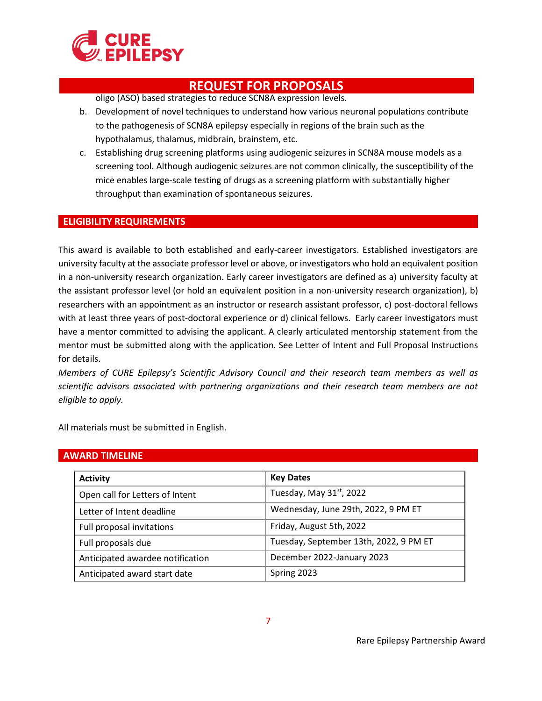

oligo (ASO) based strategies to reduce SCN8A expression levels.

- b. Development of novel techniques to understand how various neuronal populations contribute to the pathogenesis of SCN8A epilepsy especially in regions of the brain such as the hypothalamus, thalamus, midbrain, brainstem, etc.
- c. Establishing drug screening platforms using audiogenic seizures in SCN8A mouse models as a screening tool. Although audiogenic seizures are not common clinically, the susceptibility of the mice enables large-scale testing of drugs as a screening platform with substantially higher throughput than examination of spontaneous seizures.

#### <span id="page-6-0"></span> **ELIGIBILITY REQUIREMENTS**

This award is available to both established and early-career investigators. Established investigators are university faculty at the associate professor level or above, or investigators who hold an equivalent position in a non-university research organization. Early career investigators are defined as a) university faculty at the assistant professor level (or hold an equivalent position in a non-university research organization), b) researchers with an appointment as an instructor or research assistant professor, c) post-doctoral fellows with at least three years of post-doctoral experience or d) clinical fellows. Early career investigators must have a mentor committed to advising the applicant. A clearly articulated mentorship statement from the mentor must be submitted along with the application. See Letter of Intent and Full Proposal Instructions for details.

*Members of CURE Epilepsy's Scientific Advisory Council and their research team members as well as scientific advisors associated with partnering organizations and their research team members are not eligible to apply.* 

All materials must be submitted in English.

#### <span id="page-6-1"></span> **AWARD TIMELINE**

| <b>Activity</b>                  | <b>Key Dates</b>                       |
|----------------------------------|----------------------------------------|
| Open call for Letters of Intent  | Tuesday, May 31 <sup>st</sup> , 2022   |
| Letter of Intent deadline        | Wednesday, June 29th, 2022, 9 PM ET    |
| Full proposal invitations        | Friday, August 5th, 2022               |
| Full proposals due               | Tuesday, September 13th, 2022, 9 PM ET |
| Anticipated awardee notification | December 2022-January 2023             |
| Anticipated award start date     | Spring 2023                            |

7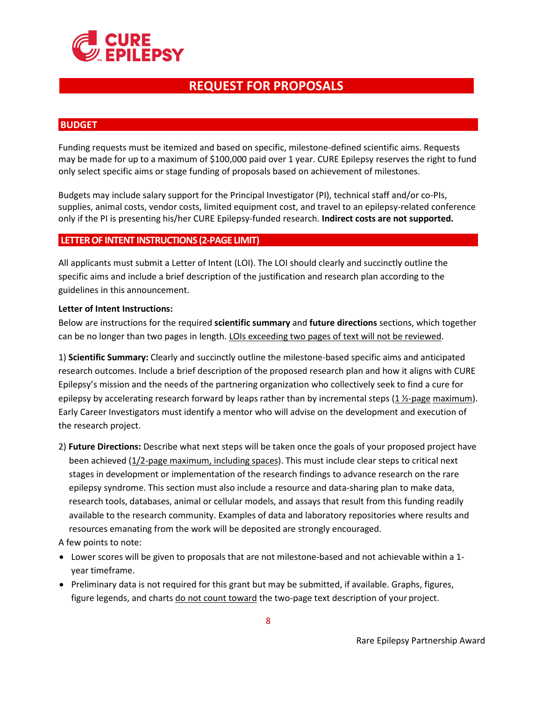

#### <span id="page-7-0"></span> **BUDGET**

Funding requests must be itemized and based on specific, milestone-defined scientific aims. Requests may be made for up to a maximum of \$100,000 paid over 1 year. CURE Epilepsy reserves the right to fund only select specific aims or stage funding of proposals based on achievement of milestones.

Budgets may include salary support for the Principal Investigator (PI), technical staff and/or co-PIs, supplies, animal costs, vendor costs, limited equipment cost, and travel to an epilepsy-related conference only if the PI is presenting his/her CURE Epilepsy-funded research. **Indirect costs are not supported.**

#### <span id="page-7-1"></span>**LETTER OF INTENT INSTRUCTIONS (2-PAGE LIMIT)**

All applicants must submit a Letter of Intent (LOI). The LOI should clearly and succinctly outline the specific aims and include a brief description of the justification and research plan according to the guidelines in this announcement.

#### **Letter of Intent Instructions:**

Below are instructions for the required **scientific summary** and **future directions** sections, which together can be no longer than two pages in length. LOIs exceeding two pages of text will not be reviewed.

1) **Scientific Summary:** Clearly and succinctly outline the milestone-based specific aims and anticipated research outcomes. Include a brief description of the proposed research plan and how it aligns with CURE Epilepsy's mission and the needs of the partnering organization who collectively seek to find a cure for epilepsy by accelerating research forward by leaps rather than by incremental steps  $(1 \frac{1}{2}$ -page maximum). Early Career Investigators must identify a mentor who will advise on the development and execution of the research project.

2) **Future Directions:** Describe what next steps will be taken once the goals of your proposed project have been achieved (1/2-page maximum, including spaces). This must include clear steps to critical next stages in development or implementation of the research findings to advance research on the rare epilepsy syndrome. This section must also include a resource and data-sharing plan to make data, research tools, databases, animal or cellular models, and assays that result from this funding readily available to the research community. Examples of data and laboratory repositories where results and resources emanating from the work will be deposited are strongly encouraged.

A few points to note:

- Lower scores will be given to proposals that are not milestone-based and not achievable within a 1 year timeframe.
- Preliminary data is not required for this grant but may be submitted, if available. Graphs, figures, figure legends, and charts do not count toward the two-page text description of your project.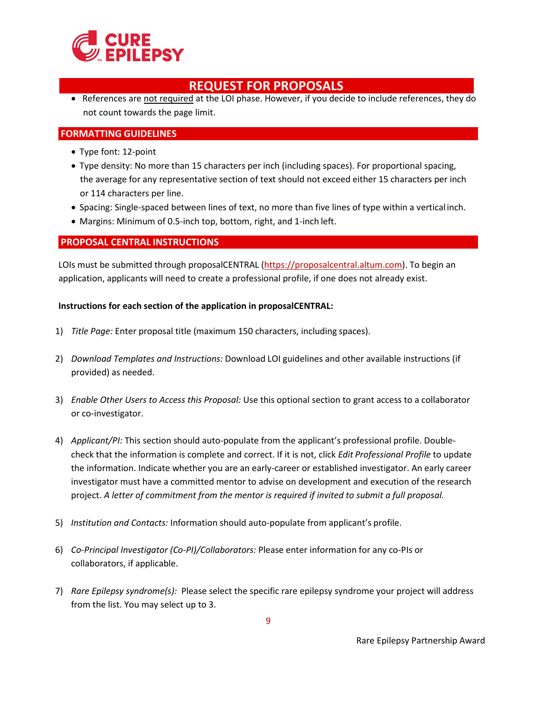

• References are not required at the LOI phase. However, if you decide to include references, they do not count towards the page limit.

### <span id="page-8-0"></span>**FORMATTING GUIDELINES**

- Type font: 12-point
- Type density: No more than 15 characters per inch (including spaces). For proportional spacing, the average for any representative section of text should not exceed either 15 characters per inch or 114 characters per line.
- Spacing: Single-spaced between lines of text, no more than five lines of type within a verticalinch.
- Margins: Minimum of 0.5-inch top, bottom, right, and 1-inch left.

### <span id="page-8-1"></span>**PROPOSAL CENTRAL INSTRUCTIONS**

LOIs must be submitted through proposalCENTRAL [\(https://proposalcentral.altum.com\)](https://proposalcentral.altum.com/). To begin an application, applicants will need to create a professional profile, if one does not already exist.

#### **Instructions for each section of the application in proposalCENTRAL:**

- 1) *Title Page:* Enter proposal title (maximum 150 characters, including spaces).
- 2) *Download Templates and Instructions:* Download LOI guidelines and other available instructions (if provided) as needed.
- 3) *Enable Other Users to Access this Proposal:* Use this optional section to grant access to a collaborator or co-investigator.
- 4) *Applicant/PI:* This section should auto-populate from the applicant's professional profile. Doublecheck that the information is complete and correct. If it is not, click *Edit Professional Profile* to update the information. Indicate whether you are an early-career or established investigator. An early career investigator must have a committed mentor to advise on development and execution of the research project. *A letter of commitment from the mentor is required if invited to submit a full proposal.*
- 5) *Institution and Contacts:* Information should auto-populate from applicant's profile.
- 6) *Co-Principal Investigator (Co-PI)/Collaborators:* Please enter information for any co-PIs or collaborators, if applicable.
- 7) *Rare Epilepsy syndrome(s):* Please select the specific rare epilepsy syndrome your project will address from the list. You may select up to 3.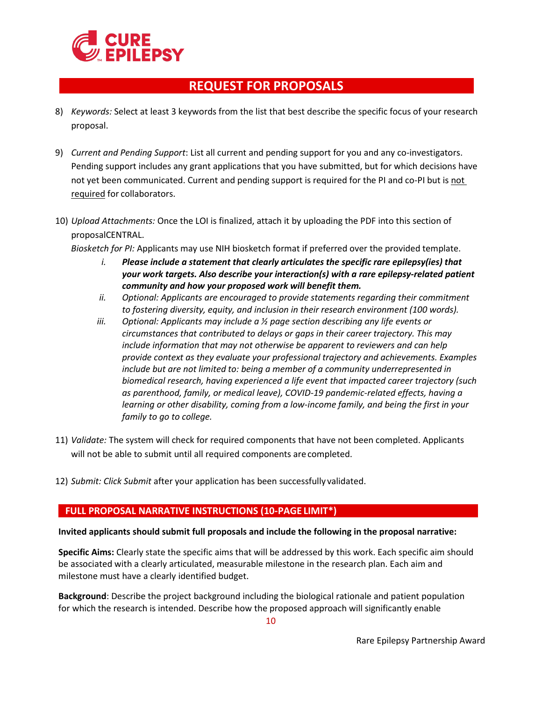

- 8) *Keywords:* Select at least 3 keywords from the list that best describe the specific focus of your research proposal.
- 9) *Current and Pending Support*: List all current and pending support for you and any co-investigators. Pending support includes any grant applications that you have submitted, but for which decisions have not yet been communicated. Current and pending support is required for the PI and co-PI but is not required for collaborators.
- 10) *Upload Attachments:* Once the LOI is finalized, attach it by uploading the PDF into this section of proposalCENTRAL.
	- *Biosketch for PI:* Applicants may use NIH biosketch format if preferred over the provided template.
		- *i. Please include a statement that clearly articulates the specific rare epilepsy(ies) that your work targets. Also describe your interaction(s) with a rare epilepsy-related patient community and how your proposed work will benefit them.*
		- *ii. Optional: Applicants are encouraged to provide statements regarding their commitment to fostering diversity, equity, and inclusion in their research environment (100 words).*
		- *iii. Optional: Applicants may include a ½ page section describing any life events or circumstances that contributed to delays or gaps in their career trajectory. This may include information that may not otherwise be apparent to reviewers and can help provide context as they evaluate your professional trajectory and achievements. Examples include but are not limited to: being a member of a community underrepresented in biomedical research, having experienced a life event that impacted career trajectory (such as parenthood, family, or medical leave), COVID-19 pandemic-related effects, having a learning or other disability, coming from a low-income family, and being the first in your family to go to college.*
- 11) *Validate:* The system will check for required components that have not been completed. Applicants will not be able to submit until all required components are completed.
- 12) *Submit: Click Submit* after your application has been successfully validated.

### <span id="page-9-0"></span> **FULL PROPOSAL NARRATIVE INSTRUCTIONS (10-PAGE LIMIT\*)**

#### **Invited applicants should submit full proposals and include the following in the proposal narrative:**

**Specific Aims:** Clearly state the specific aims that will be addressed by this work. Each specific aim should be associated with a clearly articulated, measurable milestone in the research plan. Each aim and milestone must have a clearly identified budget.

**Background**: Describe the project background including the biological rationale and patient population for which the research is intended. Describe how the proposed approach will significantly enable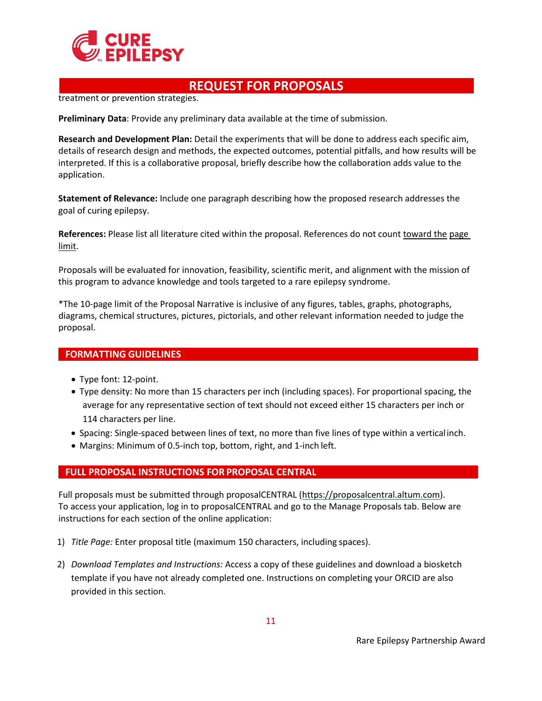

treatment or prevention strategies.

**Preliminary Data**: Provide any preliminary data available at the time of submission.

**Research and Development Plan:** Detail the experiments that will be done to address each specific aim, details of research design and methods, the expected outcomes, potential pitfalls, and how results will be interpreted. If this is a collaborative proposal, briefly describe how the collaboration adds value to the application.

**Statement of Relevance:** Include one paragraph describing how the proposed research addresses the goal of curing epilepsy.

**References:** Please list all literature cited within the proposal. References do not count toward the page limit.

Proposals will be evaluated for innovation, feasibility, scientific merit, and alignment with the mission of this program to advance knowledge and tools targeted to a rare epilepsy syndrome.

\*The 10-page limit of the Proposal Narrative is inclusive of any figures, tables, graphs, photographs, diagrams, chemical structures, pictures, pictorials, and other relevant information needed to judge the proposal.

#### <span id="page-10-0"></span> **FORMATTING GUIDELINES**

- Type font: 12-point.
- Type density: No more than 15 characters per inch (including spaces). For proportional spacing, the average for any representative section of text should not exceed either 15 characters per inch or 114 characters per line.
- Spacing: Single-spaced between lines of text, no more than five lines of type within a verticalinch.
- Margins: Minimum of 0.5-inch top, bottom, right, and 1-inch left.

#### <span id="page-10-1"></span> **FULL PROPOSAL INSTRUCTIONS FOR PROPOSAL CENTRAL**

Full proposals must be submitted through proposalCENTRAL [\(https://proposalcentral.altum.com\)](https://proposalcentral.altum.com/). To access your application, log in to proposalCENTRAL and go to the Manage Proposals tab. Below are instructions for each section of the online application:

- 1) *Title Page:* Enter proposal title (maximum 150 characters, including spaces).
- 2) *Download Templates and Instructions:* Access a copy of these guidelines and download a biosketch template if you have not already completed one. Instructions on completing your ORCID are also provided in this section.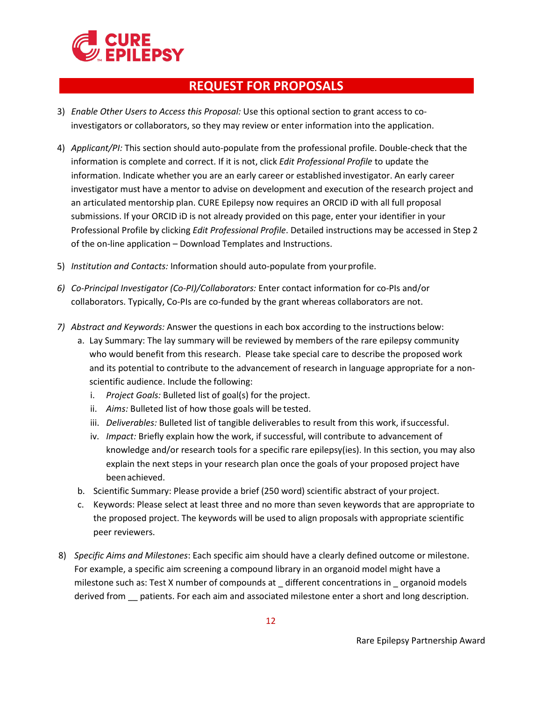

- 3) *Enable Other Users to Access this Proposal:* Use this optional section to grant access to coinvestigators or collaborators, so they may review or enter information into the application.
- 4) *Applicant/PI:* This section should auto-populate from the professional profile. Double-check that the information is complete and correct. If it is not, click *Edit Professional Profile* to update the information. Indicate whether you are an early career or established investigator. An early career investigator must have a mentor to advise on development and execution of the research project and an articulated mentorship plan. CURE Epilepsy now requires an ORCID iD with all full proposal submissions. If your ORCID iD is not already provided on this page, enter your identifier in your Professional Profile by clicking *Edit Professional Profile*. Detailed instructions may be accessed in Step 2 of the on-line application – Download Templates and Instructions.
- 5) *Institution and Contacts:* Information should auto-populate from yourprofile.
- *6) Co-Principal Investigator (Co-PI)/Collaborators:* Enter contact information for co-PIs and/or collaborators. Typically, Co-PIs are co-funded by the grant whereas collaborators are not.
- *7) Abstract and Keywords:* Answer the questions in each box according to the instructions below:
	- a. Lay Summary: The lay summary will be reviewed by members of the rare epilepsy community who would benefit from this research. Please take special care to describe the proposed work and its potential to contribute to the advancement of research in language appropriate for a nonscientific audience. Include the following:
		- i. *Project Goals:* Bulleted list of goal(s) for the project.
		- ii. *Aims:* Bulleted list of how those goals will be tested.
		- iii. *Deliverables:* Bulleted list of tangible deliverables to result from this work, ifsuccessful.
		- iv. *Impact:* Briefly explain how the work, if successful, will contribute to advancement of knowledge and/or research tools for a specific rare epilepsy(ies). In this section, you may also explain the next steps in your research plan once the goals of your proposed project have beenachieved.
	- b. Scientific Summary: Please provide a brief (250 word) scientific abstract of your project.
	- c. Keywords: Please select at least three and no more than seven keywords that are appropriate to the proposed project. The keywords will be used to align proposals with appropriate scientific peer reviewers.
- 8) *Specific Aims and Milestones*: Each specific aim should have a clearly defined outcome or milestone. For example, a specific aim screening a compound library in an organoid model might have a milestone such as: Test X number of compounds at \_different concentrations in \_organoid models derived from \_\_ patients. For each aim and associated milestone enter a short and long description.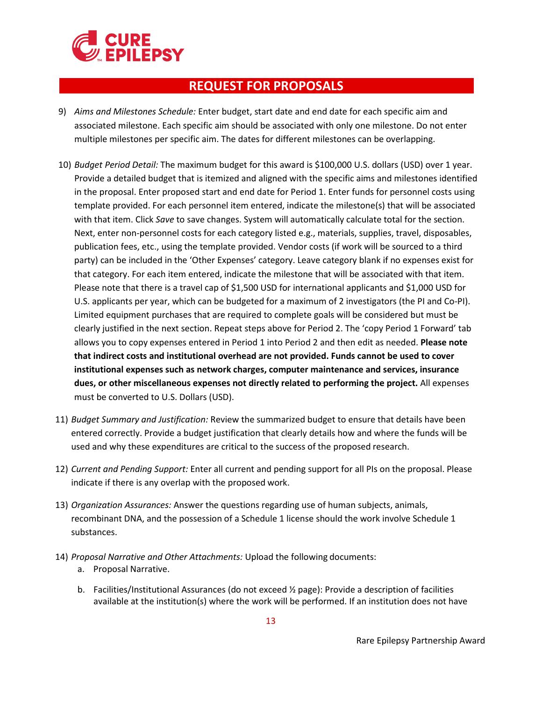

- 9) *Aims and Milestones Schedule:* Enter budget, start date and end date for each specific aim and associated milestone. Each specific aim should be associated with only one milestone. Do not enter multiple milestones per specific aim. The dates for different milestones can be overlapping.
- 10) *Budget Period Detail:* The maximum budget for this award is \$100,000 U.S. dollars (USD) over 1 year. Provide a detailed budget that is itemized and aligned with the specific aims and milestones identified in the proposal. Enter proposed start and end date for Period 1. Enter funds for personnel costs using template provided. For each personnel item entered, indicate the milestone(s) that will be associated with that item. Click *Save* to save changes. System will automatically calculate total for the section. Next, enter non-personnel costs for each category listed e.g., materials, supplies, travel, disposables, publication fees, etc., using the template provided. Vendor costs (if work will be sourced to a third party) can be included in the 'Other Expenses' category. Leave category blank if no expenses exist for that category. For each item entered, indicate the milestone that will be associated with that item. Please note that there is a travel cap of \$1,500 USD for international applicants and \$1,000 USD for U.S. applicants per year, which can be budgeted for a maximum of 2 investigators (the PI and Co-PI). Limited equipment purchases that are required to complete goals will be considered but must be clearly justified in the next section. Repeat steps above for Period 2. The 'copy Period 1 Forward' tab allows you to copy expenses entered in Period 1 into Period 2 and then edit as needed. **Please note that indirect costs and institutional overhead are not provided. Funds cannot be used to cover institutional expenses such as network charges, computer maintenance and services, insurance dues, or other miscellaneous expenses not directly related to performing the project.** All expenses must be converted to U.S. Dollars (USD).
- 11) *Budget Summary and Justification:* Review the summarized budget to ensure that details have been entered correctly. Provide a budget justification that clearly details how and where the funds will be used and why these expenditures are critical to the success of the proposed research.
- 12) *Current and Pending Support:* Enter all current and pending support for all PIs on the proposal. Please indicate if there is any overlap with the proposed work.
- 13) *Organization Assurances:* Answer the questions regarding use of human subjects, animals, recombinant DNA, and the possession of a Schedule 1 license should the work involve Schedule 1 substances.
- 14) *Proposal Narrative and Other Attachments:* Upload the following documents:
	- a. Proposal Narrative.
	- b. Facilities/Institutional Assurances (do not exceed ½ page): Provide a description of facilities available at the institution(s) where the work will be performed. If an institution does not have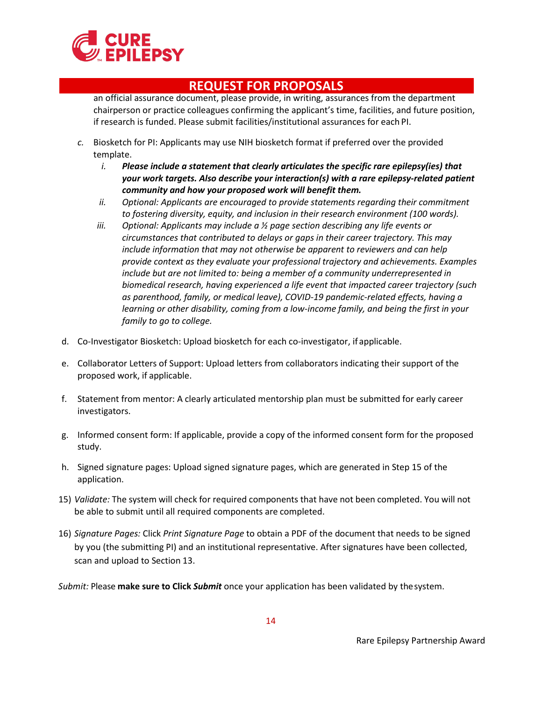

an official assurance document, please provide, in writing, assurances from the department chairperson or practice colleagues confirming the applicant's time, facilities, and future position, if research is funded. Please submit facilities/institutional assurances for each PI.

- *c.* Biosketch for PI: Applicants may use NIH biosketch format if preferred over the provided template.
	- *i. Please include a statement that clearly articulates the specific rare epilepsy(ies) that your work targets. Also describe your interaction(s) with a rare epilepsy-related patient community and how your proposed work will benefit them.*
	- *ii. Optional: Applicants are encouraged to provide statements regarding their commitment to fostering diversity, equity, and inclusion in their research environment (100 words).*
	- *iii. Optional: Applicants may include a ½ page section describing any life events or circumstances that contributed to delays or gaps in their career trajectory. This may include information that may not otherwise be apparent to reviewers and can help provide context as they evaluate your professional trajectory and achievements. Examples include but are not limited to: being a member of a community underrepresented in biomedical research, having experienced a life event that impacted career trajectory (such as parenthood, family, or medical leave), COVID-19 pandemic-related effects, having a learning or other disability, coming from a low-income family, and being the first in your family to go to college.*
- d. Co-Investigator Biosketch: Upload biosketch for each co-investigator, if applicable.
- e. Collaborator Letters of Support: Upload letters from collaborators indicating their support of the proposed work, if applicable.
- f. Statement from mentor: A clearly articulated mentorship plan must be submitted for early career investigators.
- g. Informed consent form: If applicable, provide a copy of the informed consent form for the proposed study.
- h. Signed signature pages: Upload signed signature pages, which are generated in Step 15 of the application.
- 15) *Validate:* The system will check for required components that have not been completed. You will not [be able to submit until a](mailto:Research@CUREepilepsy.org)ll required components are completed.
- 16) *Signature Pages:* Click *Print Signature Page* to obtain a PDF of the document that needs to be signed by you (the submitting PI) and an institutional representative. After signatures have been collected, scan and upload to Section 13.

*Submit:* Please **make sure to Click** *Submit* once your application has been validated by thesystem.